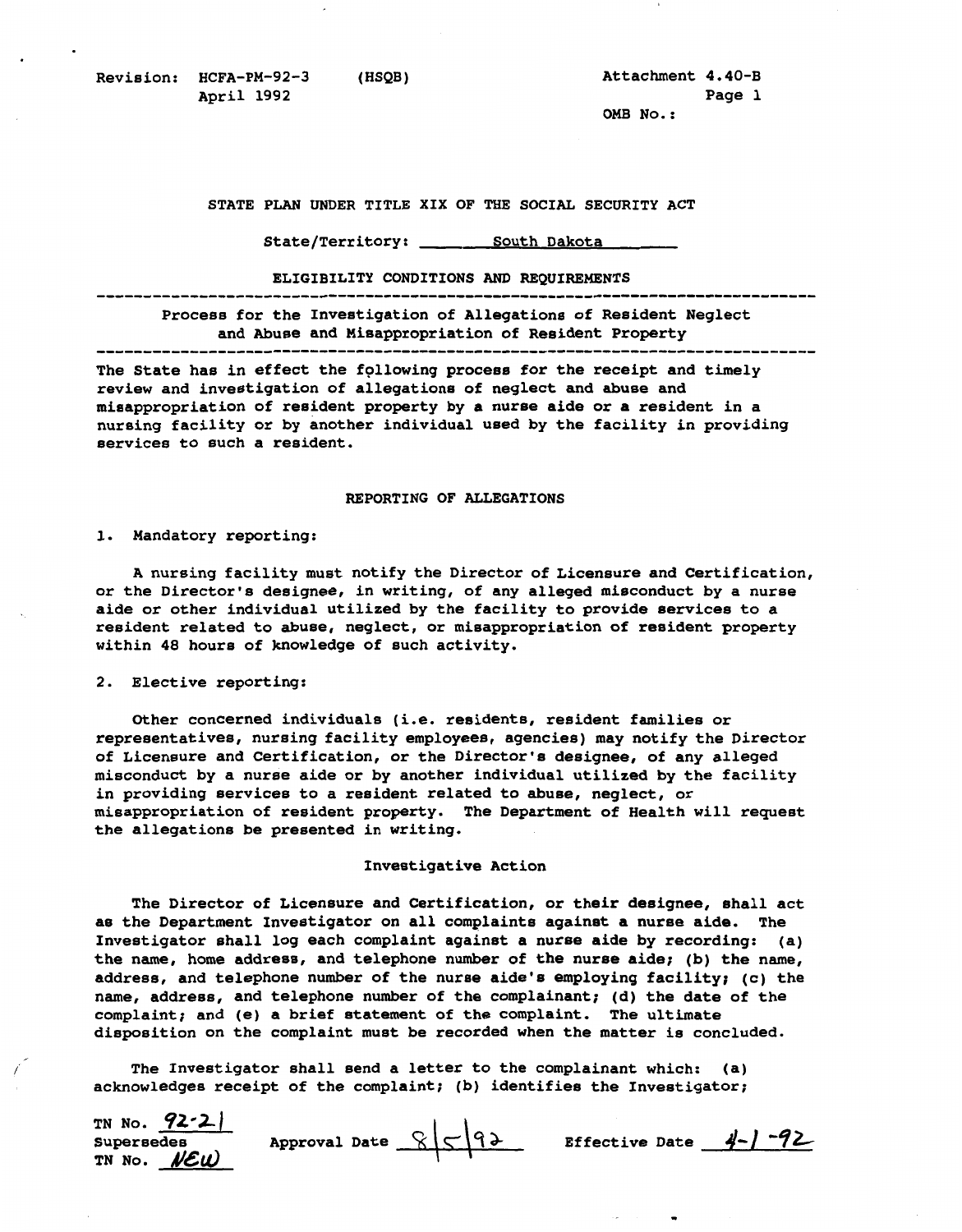Revision: HCFA-PM-92-3 (HSQB) **Attachment 4.40-B** <br>April 1992 **Page 1 April 1992** 

**OMB No.:** 

.

STATE PLAN UNDER TITLE XIX OF THE SOCIAL SECURITY ACT

**South State/Territory: Dakota** 

**ELIGIBILITY CONDITIONS***AND* **REQUIREMENTS** ..............................................................................

**Process for the Investigation of Allegations of Resident Neglect**  and Abuse and Misappropriation of Resident Property

The State has in effect the following process for the receipt and timely **review and investigation of allegations of neglect andabuse and misappropriation of resident propertyby a nurse aide or a resident in a nursing facility or by another individual usedby the facility in providing services to such a resident.** 

## **REPORTING OF ALLEGATIONS**

**1. Mandatory reporting:** 

A nursing facility must notify the Director of Licensure and Certification, or the Director's designee, in writing, of any alleged misconduct by a nurse **aide or other individual utilizedby the facility to provide services to a**  resident related to abuse, neglect, or misappropriation of resident property **within 48 hours of knowledge of such activity.** 

## **2. Elective reporting:**

**Other concerned individuals (i.e. residents, resident families or**  representatives, nursing facility employees, agencies) may notify the Director **of Licensure and Certification,or the Director's designee, of any alleged misconduct by a nurseaide or by another individual utilizedby the facility**  in providing services to a resident related to abuse, neglect, or misappropriation of resident property. The Department of Health will request **the allegations be presented inwriting.** 

## **Investigative Action**

**nurse Investigator shall log each complaint against a aide by recording: (a) when disposition on the complaint must be recorded the matter is concluded.**  The Director of Licensure and Certification, or their designee, shall act as the Department Investigator on all complaints against a nurse aide. The the name, home address, and telephone number of the nurse aide; (b) the name, **address, and telephone number ofthe nurse aide's employing facility; (c) the**  name, address, and telephone number of the complainant; (d) the date of the **complaint; and (e) a brief statement ofthe complaint. The ultimate** 

The Investigator shall send a letter to the complainant which: (a) **acknowledges receipt of the complaint; (b) identifies the Investigator;** 

| TN No. $92-2$ |                       |                          |  |
|---------------|-----------------------|--------------------------|--|
| Supersedes    | Approval Date $85-92$ | Effective Date $4-1$ -92 |  |
| TN NO. NEW    |                       |                          |  |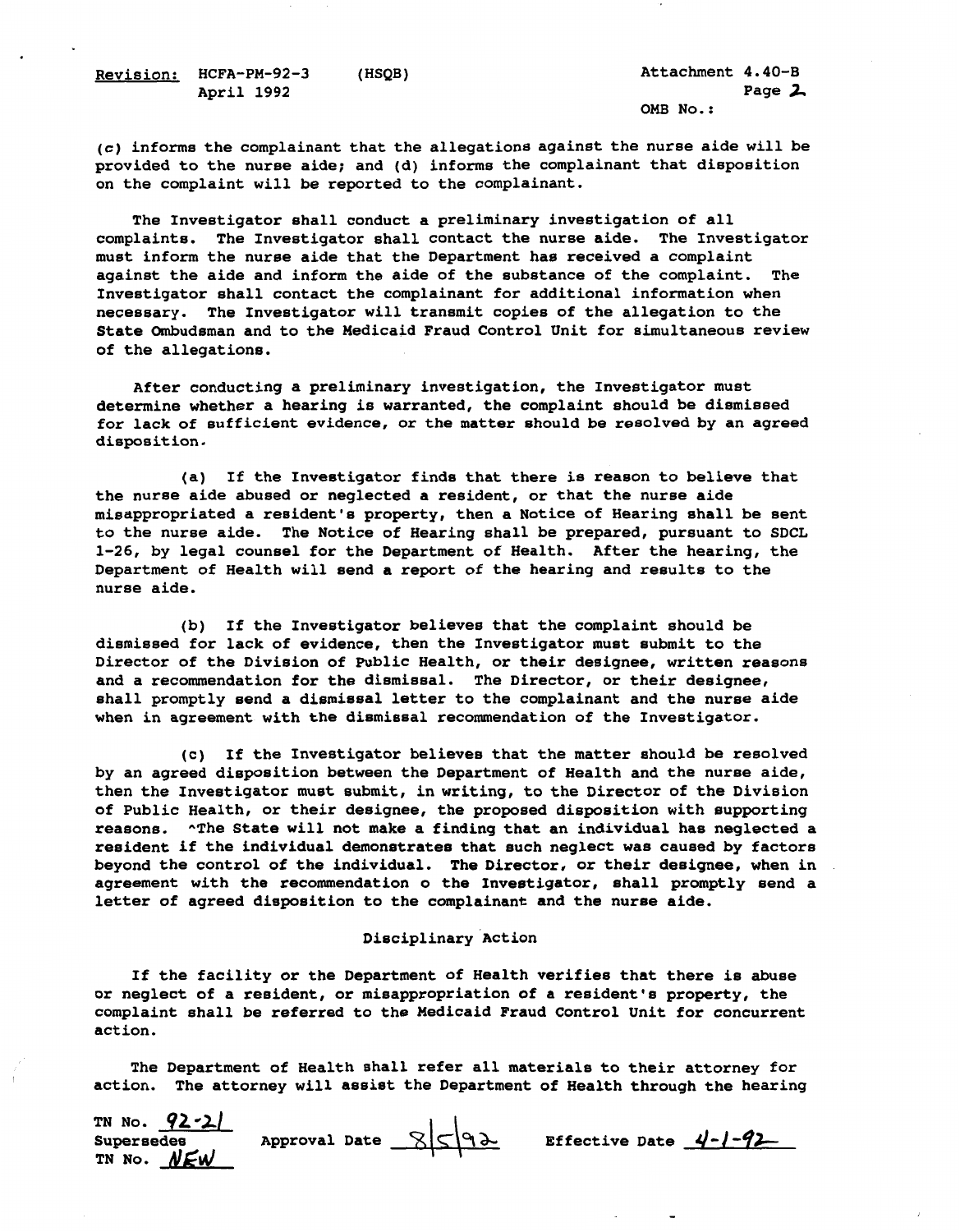**Revision: HCFA-PM-92-3 (HSQB) April 1992** 

(c) informs the complainant that the allegations against the nurse aide will be provided to the nurse aide; and (d) informs the complainant that disposition on the complaint will be reported to the complainant.

**of The Investigator shall conduct a preliminary investigation all**  complaints. The Investigator shall contact the nurse aide. The Investigator **must informthe nurse aide that the Department has received a complaint against the aide and inform the aide ofthe substance ofthe complaint. The**  Investigator shall contact the complainant for additional information when **necessary. The Investigator will transmit copiesof the allegation to the**  State Ombudsman and to the Medicaid Fraud Control Unit for simultaneous review **of the allegations.** 

**After conducting a preliminary investigation, the Investigator must**  determine whether a hearing is warranted, the complaint should be dismissed for lack of sufficient evidence, or the matter should be resolved by an agreed **disposition.** 

**(a) If the Investigator findsthat there is reason to believe that the nurse aide abused or neglected a resident,or that the nurse aide misappropriated a resident's property,then a Noticeof Hearing shall be sent to the nurse aide. The Notice of Hearing shall be prepared, pursuant to SDCL**  1-26, by legal counsel for the Department of Health. After the hearing, the Department of Health will send a report of the hearing and results to the **nurse aide.** 

(b) If the Investigator believes that the complaint should be **dismissed for lack of evidence, then the Investigator must submitto the**  Director of the Division of Public Health, or their designee, written reasons **and a recommendation for the dismissal. The Director, or their designee, shall promptly send a dismissal letter to the complainant and the nurse aide when in agreement with the dismissal recommendationof the Investigator.** 

by an agreed disposition between the Department of Health and the nurse aide, (c) If the Investigator believes that the matter should be resolved **then the Investigator must submit, in writing, to the Director of the Division**  of Public Health, or their designee, the proposed disposition with supporting **reasons. ^The State will not make a findingthat an individual has neglected a resident if the individual demonstrates that such neglect was caused by factors beyond the control of the individual. The Director, or their designee, when in agreement with the recommendation o the Investigator, shall promptly send a**  letter of agreed disposition to the complainant and the nurse aide.

## Disciplinary Action

If the facility or the Department of Health verifies that there is abuse **or neglect of a resident,or misappropriation of a resident's property, the**  complaint shall be referred to the Medicaid Fraud Control Unit for concurrent **act ion.** 

**The Department of Health shallrefer all materials to their attorney for action. The attorney will assist the Department of Health through the hearing**

| TN No. $92 - 21$ |               |      |                         |  |
|------------------|---------------|------|-------------------------|--|
| Supersedes       | Approval Date | 8592 | Effective Date $4-1-92$ |  |
| TN NO. NEW       |               |      |                         |  |